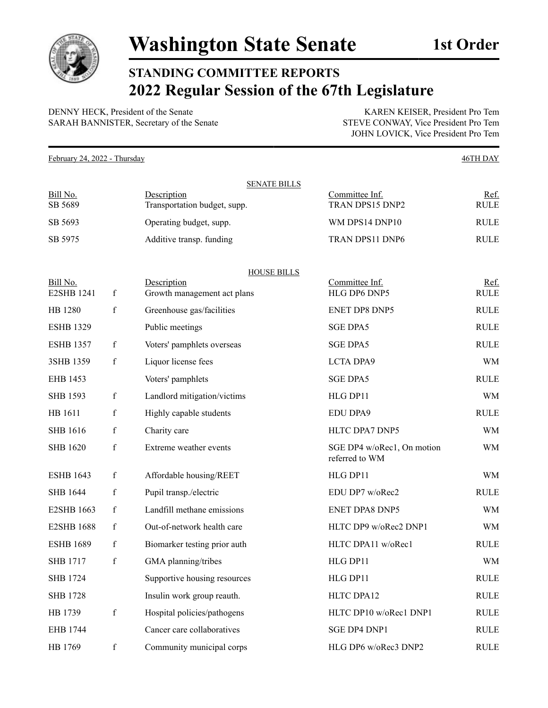

## **STANDING COMMITTEE REPORTS 2022 Regular Session of the 67th Legislature**

DENNY HECK, President of the Senate KAREN KEISER, President Pro Tem SARAH BANNISTER, Secretary of the Senate STEVE CONWAY, Vice President Pro Tem

JOHN LOVICK, Vice President Pro Tem

February 24, 2022 - Thursday 46TH DAY SENATE BILLS Bill No. Sesseription Description Committee Inf. Ref. SB 5689 Transportation budget, supp. TRAN DPS15 DNP2 RULE SB 5693 Operating budget, supp. WM DPS14 DNP10 RULE SB 5975 Additive transp. funding TRAN DPS11 DNP6 RULE HOUSE BILLS Bill No. Solution Description Description Committee Inf. 2008. Committee Inference Inference Inference Inference Inference Inference Inference Inference Inference Inference Inference Inference Inference Inference Inference E2SHB 1241 f Growth management act plans HLG DP6 DNP5 RULE HB 1280 f Greenhouse gas/facilities ENET DP8 DNP5 RULE ESHB 1329 Public meetings SGE DPA5 SGE DPA5 ESHB 1357 f Voters' pamphlets overseas SGE DPA5 RULE 3SHB 1359 f Liquor license fees LCTA DPA9 WM EHB 1453 Voters' pamphlets SGE DPA5 SGE NOLE SHB 1593 f Landlord mitigation/victims HLG DP11 WM HB 1611 f Highly capable students EDU DPA9 RULE SHB 1616 f Charity care HLTC DPA7 DNP5 WM SHB 1620 f Extreme weather events SGE DP4 w/oRec1, On motion referred to WM WM ESHB 1643 f Affordable housing/REET HLG DP11 WM SHB 1644 f Pupil transp./electric EDU DP7 w/oRec2 RULE E2SHB 1663 f Landfill methane emissions ENET DPA8 DNP5 WM E2SHB 1688 f Out-of-network health care HLTC DP9 w/oRec2 DNP1 WM ESHB 1689 f Biomarker testing prior auth HLTC DPA11 w/oRec1 RULE SHB 1717 f GMA planning/tribes HLG DP11 WM SHB 1724 Supportive housing resources HLG DP11 RULE SHB 1728 Insulin work group reauth. HLTC DPA12 RULE HB 1739 f Hospital policies/pathogens HLTC DP10 w/oRec1 DNP1 RULE EHB 1744 Cancer care collaboratives SGE DP4 DNP1 RULE

HB 1769 f Community municipal corps HLG DP6 w/oRec3 DNP2 RULE